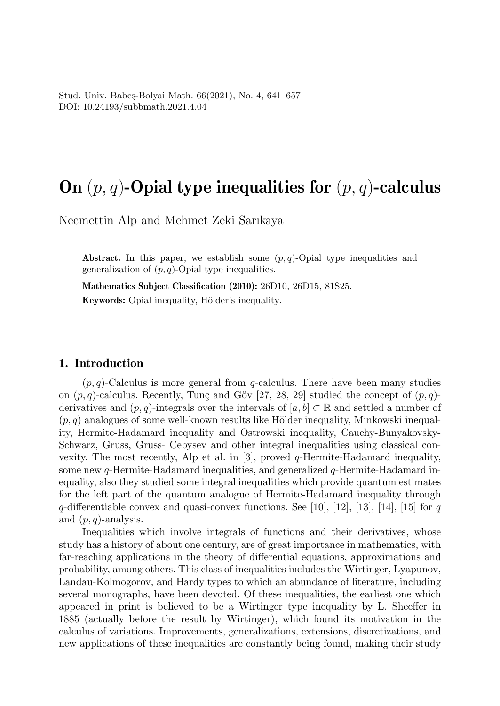# On  $(p, q)$ -Opial type inequalities for  $(p, q)$ -calculus

Necmettin Alp and Mehmet Zeki Sarıkaya

Abstract. In this paper, we establish some  $(p, q)$ -Opial type inequalities and generalization of  $(p, q)$ -Opial type inequalities.

Mathematics Subject Classification (2010): 26D10, 26D15, 81S25. Keywords: Opial inequality, Hölder's inequality.

#### 1. Introduction

 $(p, q)$ -Calculus is more general from q-calculus. There have been many studies on  $(p, q)$ -calculus. Recently, Tunç and Göv [27, 28, 29] studied the concept of  $(p, q)$ derivatives and  $(p, q)$ -integrals over the intervals of  $[a, b] \subset \mathbb{R}$  and settled a number of  $(p, q)$  analogues of some well-known results like Hölder inequality, Minkowski inequality, Hermite-Hadamard inequality and Ostrowski inequality, Cauchy-Bunyakovsky-Schwarz, Gruss, Gruss- Cebysev and other integral inequalities using classical convexity. The most recently, Alp et al. in [3], proved q-Hermite-Hadamard inequality, some new  $q$ -Hermite-Hadamard inequalities, and generalized  $q$ -Hermite-Hadamard inequality, also they studied some integral inequalities which provide quantum estimates for the left part of the quantum analogue of Hermite-Hadamard inequality through  $q$ -differentiable convex and quasi-convex functions. See [10], [12], [13], [14], [15] for q and  $(p, q)$ -analysis.

Inequalities which involve integrals of functions and their derivatives, whose study has a history of about one century, are of great importance in mathematics, with far-reaching applications in the theory of differential equations, approximations and probability, among others. This class of inequalities includes the Wirtinger, Lyapunov, Landau-Kolmogorov, and Hardy types to which an abundance of literature, including several monographs, have been devoted. Of these inequalities, the earliest one which appeared in print is believed to be a Wirtinger type inequality by L. Sheeffer in 1885 (actually before the result by Wirtinger), which found its motivation in the calculus of variations. Improvements, generalizations, extensions, discretizations, and new applications of these inequalities are constantly being found, making their study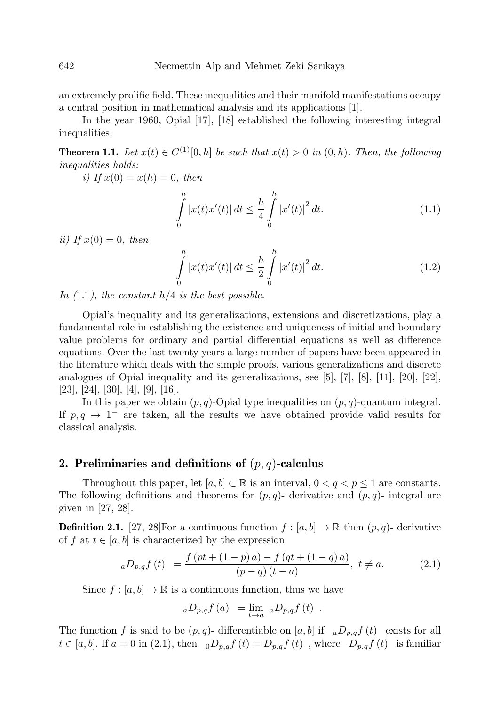an extremely prolific field. These inequalities and their manifold manifestations occupy a central position in mathematical analysis and its applications [1].

In the year 1960, Opial [17], [18] established the following interesting integral inequalities:

**Theorem 1.1.** Let  $x(t) \in C^{(1)}[0,h]$  be such that  $x(t) > 0$  in  $(0,h)$ . Then, the following inequalities holds:

i) If  $x(0) = x(h) = 0$ , then

$$
\int_{0}^{h} |x(t)x'(t)| dt \leq \frac{h}{4} \int_{0}^{h} |x'(t)|^{2} dt.
$$
\n(1.1)

ii) If  $x(0) = 0$ , then

$$
\int_{0}^{h} |x(t)x'(t)| dt \leq \frac{h}{2} \int_{0}^{h} |x'(t)|^{2} dt.
$$
\n(1.2)

In  $(1.1)$ , the constant  $h/4$  is the best possible.

Opial's inequality and its generalizations, extensions and discretizations, play a fundamental role in establishing the existence and uniqueness of initial and boundary value problems for ordinary and partial differential equations as well as difference equations. Over the last twenty years a large number of papers have been appeared in the literature which deals with the simple proofs, various generalizations and discrete analogues of Opial inequality and its generalizations, see [5], [7], [8], [11], [20], [22], [23], [24], [30], [4], [9], [16].

In this paper we obtain  $(p, q)$ -Opial type inequalities on  $(p, q)$ -quantum integral. If  $p, q \rightarrow 1^-$  are taken, all the results we have obtained provide valid results for classical analysis.

#### 2. Preliminaries and definitions of  $(p, q)$ -calculus

Throughout this paper, let  $[a, b] \subset \mathbb{R}$  is an interval,  $0 < q < p \leq 1$  are constants. The following definitions and theorems for  $(p, q)$ - derivative and  $(p, q)$ - integral are given in [27, 28].

**Definition 2.1.** [27, 28]For a continuous function  $f : [a, b] \to \mathbb{R}$  then  $(p, q)$ - derivative of f at  $t \in [a, b]$  is characterized by the expression

$$
{}_{a}D_{p,q}f(t) = \frac{f\left(pt + (1-p)a\right) - f\left(qt + (1-q)a\right)}{(p-q)(t-a)}, \ t \neq a. \tag{2.1}
$$

Since  $f : [a, b] \to \mathbb{R}$  is a continuous function, thus we have

$$
{}_aD_{p,q}f\left(a\right) = \lim_{t \to a} {}_aD_{p,q}f\left(t\right) .
$$

The function f is said to be  $(p, q)$ - differentiable on [a, b] if  $aD_{p,q}f(t)$  exists for all  $t \in [a, b]$ . If  $a = 0$  in (2.1), then  $_0D_{p,q}f(t) = D_{p,q}f(t)$ , where  $D_{p,q}f(t)$  is familiar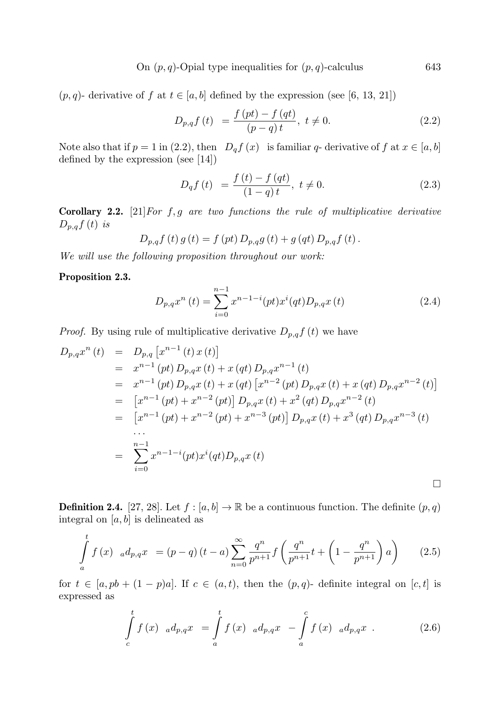On  $(p, q)$ -Opial type inequalities for  $(p, q)$ -calculus 643

 $(p, q)$ - derivative of f at  $t \in [a, b]$  defined by the expression (see [6, 13, 21])

$$
D_{p,q}f(t) = \frac{f(pt) - f(qt)}{(p-q)t}, \ t \neq 0.
$$
 (2.2)

Note also that if  $p = 1$  in (2.2), then  $D_q f(x)$  is familiar q- derivative of f at  $x \in [a, b]$ defined by the expression (see [14])

$$
D_q f(t) = \frac{f(t) - f(qt)}{(1 - q)t}, \ t \neq 0.
$$
 (2.3)

**Corollary 2.2.** [21] For  $f, g$  are two functions the rule of multiplicative derivative  $D_{p,q}f(t)$  is

$$
D_{p,q} f(t) g(t) = f(pt) D_{p,q} g(t) + g(qt) D_{p,q} f(t).
$$

We will use the following proposition throughout our work:

#### Proposition 2.3.

$$
D_{p,q}x^{n}(t) = \sum_{i=0}^{n-1} x^{n-1-i}(pt)x^{i}(qt)D_{p,q}x(t)
$$
\n(2.4)

*Proof.* By using rule of multiplicative derivative  $D_{p,q}f(t)$  we have

$$
D_{p,q}x^{n}(t) = D_{p,q}[x^{n-1}(t)x(t)]
$$
  
\n
$$
= x^{n-1}(pt) D_{p,q}x(t) + x(qt) D_{p,q}x^{n-1}(t)
$$
  
\n
$$
= x^{n-1}(pt) D_{p,q}x(t) + x(qt) [x^{n-2}(pt) D_{p,q}x(t) + x(qt) D_{p,q}x^{n-2}(t)]
$$
  
\n
$$
= [x^{n-1}(pt) + x^{n-2}(pt)] D_{p,q}x(t) + x^{2}(qt) D_{p,q}x^{n-2}(t)
$$
  
\n
$$
= [x^{n-1}(pt) + x^{n-2}(pt) + x^{n-3}(pt)] D_{p,q}x(t) + x^{3}(qt) D_{p,q}x^{n-3}(t)
$$
  
\n...  
\n
$$
= \sum_{i=0}^{n-1} x^{n-1-i}(pt)x^{i}(qt) D_{p,q}x(t)
$$

**Definition 2.4.** [27, 28]. Let  $f : [a, b] \to \mathbb{R}$  be a continuous function. The definite  $(p, q)$ integral on  $[a, b]$  is delineated as

$$
\int_{a}^{t} f(x) \, d p_{n} dx = (p - q) (t - a) \sum_{n=0}^{\infty} \frac{q^{n}}{p^{n+1}} f\left(\frac{q^{n}}{p^{n+1}} t + \left(1 - \frac{q^{n}}{p^{n+1}}\right) a\right) \tag{2.5}
$$

for  $t \in [a, pb + (1 - p)a]$ . If  $c \in (a, t)$ , then the  $(p, q)$ - definite integral on  $[c, t]$  is expressed as

$$
\int_{c}^{t} f(x) \, d_{p,q}x = \int_{a}^{t} f(x) \, d_{p,q}x - \int_{a}^{c} f(x) \, d_{p,q}x \,. \tag{2.6}
$$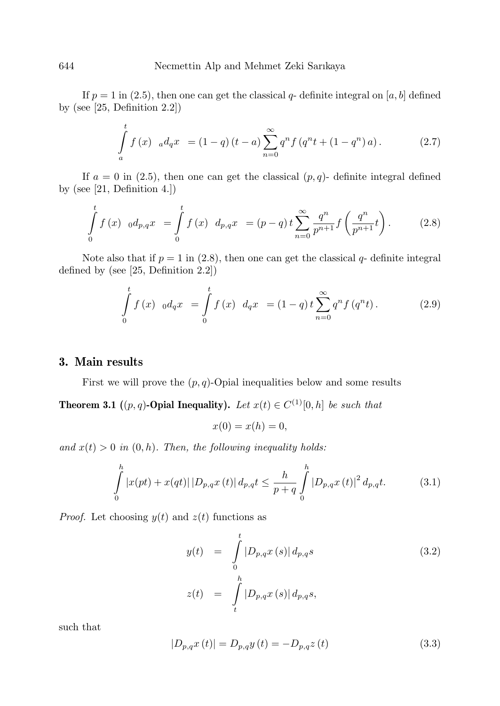If  $p = 1$  in (2.5), then one can get the classical  $q$ - definite integral on [a, b] defined by (see [25, Definition 2.2])

$$
\int_{a}^{t} f(x) \, d q \, dx = (1-q)(t-a) \sum_{n=0}^{\infty} q^n f(q^n t + (1-q^n) a). \tag{2.7}
$$

If  $a = 0$  in (2.5), then one can get the classical  $(p, q)$ - definite integral defined by (see [21, Definition 4.])

$$
\int_{0}^{t} f(x) \, 0 \, d_{p,q}x = \int_{0}^{t} f(x) \, d_{p,q}x = (p-q)t \sum_{n=0}^{\infty} \frac{q^n}{p^{n+1}} f\left(\frac{q^n}{p^{n+1}}t\right). \tag{2.8}
$$

Note also that if  $p = 1$  in (2.8), then one can get the classical  $q$ - definite integral defined by (see [25, Definition 2.2])

$$
\int_{0}^{t} f(x) \, d q x = \int_{0}^{t} f(x) \, d q x = (1-q) t \sum_{n=0}^{\infty} q^{n} f(q^{n} t).
$$
 (2.9)

## 3. Main results

First we will prove the  $(p, q)$ -Opial inequalities below and some results

**Theorem 3.1** ((p, q)-Opial Inequality). Let  $x(t) \in C^{(1)}[0, h]$  be such that

$$
x(0) = x(h) = 0,
$$

and  $x(t) > 0$  in  $(0, h)$ . Then, the following inequality holds:

$$
\int_{0}^{h} |x(pt) + x(qt)| |D_{p,q}x(t)| d_{p,q}t \leq \frac{h}{p+q} \int_{0}^{h} |D_{p,q}x(t)|^{2} d_{p,q}t.
$$
 (3.1)

*Proof.* Let choosing  $y(t)$  and  $z(t)$  functions as

$$
y(t) = \int_{0}^{t} |D_{p,q}x(s)| d_{p,q}s
$$
\n
$$
z(t) = \int_{t}^{h} |D_{p,q}x(s)| d_{p,q}s,
$$
\n(3.2)

such that

$$
|D_{p,q}x(t)| = D_{p,q}y(t) = -D_{p,q}z(t)
$$
\n(3.3)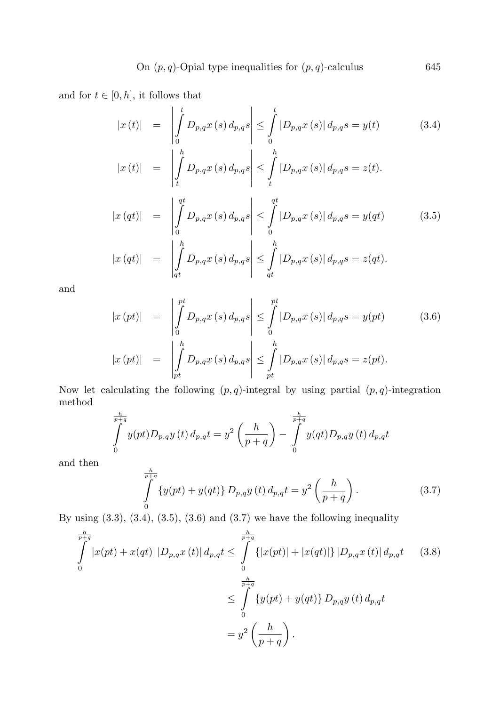and for  $t \in [0, h]$ , it follows that

qt

$$
|x(t)| = \left| \int_{0}^{t} D_{p,q} x(s) d_{p,q} s \right| \leq \int_{0}^{t} |D_{p,q} x(s)| d_{p,q} s = y(t)
$$
(3.4)

$$
|x(t)| = \left| \int\limits_t^{\cdot} D_{p,q} x(s) d_{p,q} s \right| \leq \int\limits_t^{\cdot} |D_{p,q} x(s)| d_{p,q} s = z(t).
$$

$$
|x (qt)| = \left| \int_{0}^{qt} D_{p,q} x(s) d_{p,q} s \right| \leq \int_{0}^{qt} |D_{p,q} x(s)| d_{p,q} s = y (qt)
$$
(3.5)  

$$
|x (qt)| = \left| \int_{qt}^{h} D_{p,q} x(s) d_{p,q} s \right| \leq \int_{qt}^{h} |D_{p,q} x(s)| d_{p,q} s = z (qt).
$$

qt

and

$$
|x (pt)| = \left| \int_{0}^{pt} D_{p,q} x(s) d_{p,q} s \right| \leq \int_{0}^{pt} |D_{p,q} x(s)| d_{p,q} s = y(pt)
$$
(3.6)  

$$
|x (pt)| = \left| \int_{pt}^{h} D_{p,q} x(s) d_{p,q} s \right| \leq \int_{pt}^{h} |D_{p,q} x(s)| d_{p,q} s = z(pt).
$$

Now let calculating the following  $(p, q)$ -integral by using partial  $(p, q)$ -integration method

$$
\int_{0}^{\frac{h}{p+q}} y(pt) D_{p,q} y(t) d_{p,q} t = y^{2} \left(\frac{h}{p+q}\right) - \int_{0}^{\frac{h}{p+q}} y(qt) D_{p,q} y(t) d_{p,q} t
$$

and then

$$
\int_{0}^{\frac{h}{p+q}} \{y(pt) + y(qt)\} D_{p,q} y(t) d_{p,q} t = y^2 \left(\frac{h}{p+q}\right). \tag{3.7}
$$

By using  $(3.3)$ ,  $(3.4)$ ,  $(3.5)$ ,  $(3.6)$  and  $(3.7)$  we have the following inequality

$$
\int_{0}^{\frac{h}{p+q}} |x(pt) + x(qt)| |D_{p,q}x(t)| d_{p,q}t \leq \int_{0}^{\frac{h}{p+q}} \{ |x(pt)| + |x(qt)| \} |D_{p,q}x(t)| d_{p,q}t \qquad (3.8)
$$
\n
$$
\leq \int_{0}^{\frac{h}{p+q}} \{ y(pt) + y(qt) \} D_{p,q}y(t) d_{p,q}t
$$
\n
$$
= y^{2} \left( \frac{h}{p+q} \right).
$$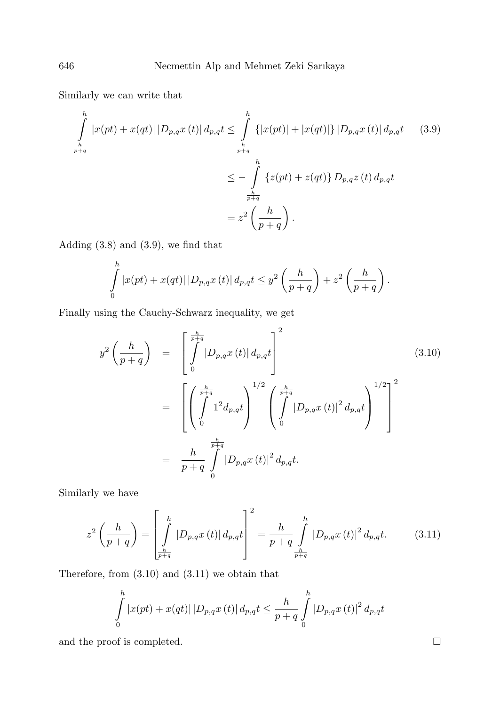Similarly we can write that

$$
\int_{\frac{h}{p+q}}^{h} |x(pt) + x(qt)| |D_{p,q}x(t)| d_{p,q}t \leq \int_{\frac{h}{p+q}}^{h} \{|x(pt)| + |x(qt)|\} |D_{p,q}x(t)| d_{p,q}t \qquad (3.9)
$$
\n
$$
\leq -\int_{\frac{h}{p+q}}^{h} \{z(pt) + z(qt)\} D_{p,q}z(t) d_{p,q}t
$$
\n
$$
= z^{2} \left(\frac{h}{p+q}\right).
$$

Adding (3.8) and (3.9), we find that

$$
\int_{0}^{h} |x(pt) + x(qt)| |D_{p,q}x(t)| d_{p,q}t \leq y^{2} \left(\frac{h}{p+q}\right) + z^{2} \left(\frac{h}{p+q}\right).
$$

Finally using the Cauchy-Schwarz inequality, we get

$$
y^{2}\left(\frac{h}{p+q}\right) = \left[\int_{0}^{\frac{h}{p+q}} |D_{p,q}x(t)| d_{p,q}t\right]^{2}
$$
\n
$$
= \left[\left(\int_{0}^{\frac{h}{p+q}} 1^{2} d_{p,q}t\right)^{1/2} \left(\int_{0}^{\frac{h}{p+q}} |D_{p,q}x(t)|^{2} d_{p,q}t\right)^{1/2}\right]^{2}
$$
\n
$$
= \frac{h}{p+q} \int_{0}^{\frac{h}{p+q}} |D_{p,q}x(t)|^{2} d_{p,q}t.
$$
\n(3.10)

Similarly we have

$$
z^{2}\left(\frac{h}{p+q}\right) = \left[\int_{\frac{h}{p+q}}^{h} |D_{p,q}x(t)| d_{p,q}t\right]^{2} = \frac{h}{p+q} \int_{\frac{h}{p+q}}^{h} |D_{p,q}x(t)|^{2} d_{p,q}t.
$$
 (3.11)

Therefore, from (3.10) and (3.11) we obtain that

$$
\int_{0}^{h} |x(pt) + x(qt)| |D_{p,q}x(t)| d_{p,q}t \leq \frac{h}{p+q} \int_{0}^{h} |D_{p,q}x(t)|^{2} d_{p,q}t
$$

and the proof is completed.  $\hfill \square$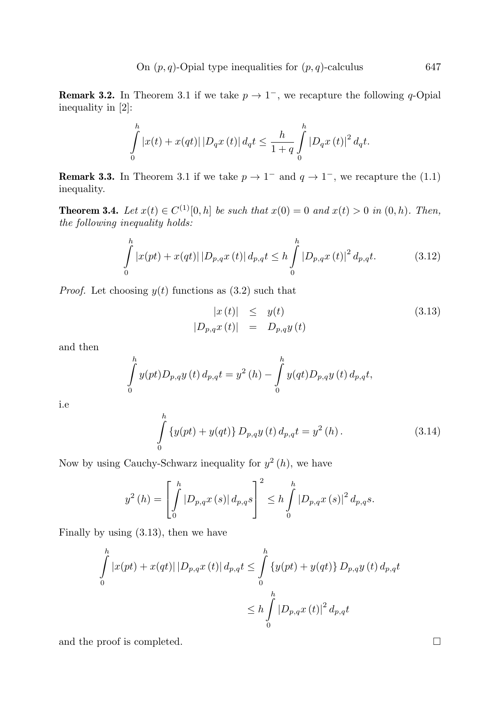**Remark 3.2.** In Theorem 3.1 if we take  $p \to 1^-$ , we recapture the following q-Opial inequality in [2]:

$$
\int_{0}^{h} |x(t) + x(qt)| |D_q x(t)| d_q t \leq \frac{h}{1+q} \int_{0}^{h} |D_q x(t)|^2 d_q t.
$$

**Remark 3.3.** In Theorem 3.1 if we take  $p \to 1^-$  and  $q \to 1^-$ , we recapture the (1.1) inequality.

**Theorem 3.4.** Let  $x(t) \in C^{(1)}[0, h]$  be such that  $x(0) = 0$  and  $x(t) > 0$  in  $(0, h)$ . Then, the following inequality holds:

$$
\int_{0}^{h} |x(pt) + x(qt)| |D_{p,q}x(t)| d_{p,q}t \le h \int_{0}^{h} |D_{p,q}x(t)|^{2} d_{p,q}t.
$$
 (3.12)

*Proof.* Let choosing  $y(t)$  functions as  $(3.2)$  such that

$$
|x(t)| \leq y(t)
$$
\n
$$
|D_{p,q}x(t)| = D_{p,q}y(t)
$$
\n(3.13)

and then

$$
\int_{0}^{h} y(pt) D_{p,q} y(t) d_{p,q} t = y^{2}(h) - \int_{0}^{h} y(qt) D_{p,q} y(t) d_{p,q} t,
$$

i.e

$$
\int_{0}^{h} \left\{ y(pt) + y (qt) \right\} D_{p,q} y(t) d_{p,q} t = y^{2} (h).
$$
 (3.14)

Now by using Cauchy-Schwarz inequality for  $y^2(h)$ , we have

$$
y^{2}(h) = \left[\int_{0}^{h} |D_{p,q}x(s)| d_{p,q}s\right]^{2} \leq h \int_{0}^{h} |D_{p,q}x(s)|^{2} d_{p,q}s.
$$

Finally by using (3.13), then we have

$$
\int_{0}^{h} |x(pt) + x(qt)| |D_{p,q}x(t)| d_{p,q}t \leq \int_{0}^{h} \{y(pt) + y(qt)\} D_{p,q}y(t) d_{p,q}t
$$
  

$$
\leq h \int_{0}^{h} |D_{p,q}x(t)|^{2} d_{p,q}t
$$

and the proof is completed.  $\Box$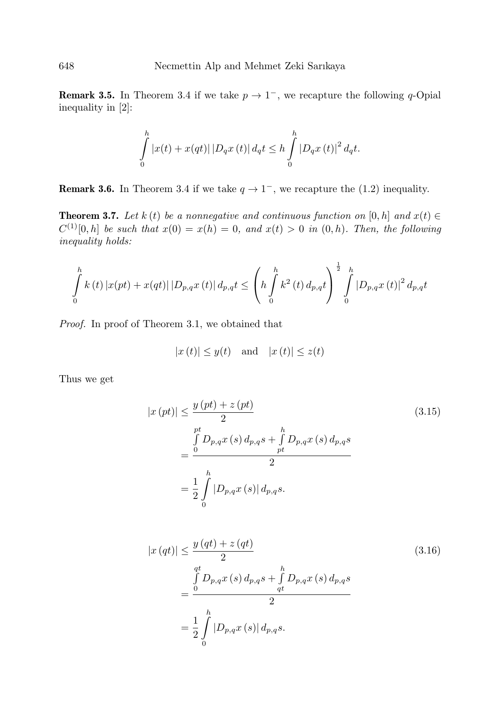**Remark 3.5.** In Theorem 3.4 if we take  $p \to 1^-$ , we recapture the following q-Opial inequality in [2]:

$$
\int_{0}^{h} |x(t) + x(qt)| |D_q x(t)| d_q t \le h \int_{0}^{h} |D_q x(t)|^2 d_q t.
$$

**Remark 3.6.** In Theorem 3.4 if we take  $q \to 1^-$ , we recapture the (1.2) inequality.

**Theorem 3.7.** Let k (t) be a nonnegative and continuous function on [0, h] and  $x(t) \in$  $C^{(1)}[0,h]$  be such that  $x(0) = x(h) = 0$ , and  $x(t) > 0$  in  $(0,h)$ . Then, the following inequality holds:

$$
\int_{0}^{h} k(t) |x(pt) + x(qt)| |D_{p,q}x(t)| d_{p,q}t \leq \left(h \int_{0}^{h} k^{2}(t) d_{p,q}t\right)^{\frac{1}{2}} \int_{0}^{h} |D_{p,q}x(t)|^{2} d_{p,q}t
$$

Proof. In proof of Theorem 3.1, we obtained that

$$
|x(t)| \leq y(t)
$$
 and  $|x(t)| \leq z(t)$ 

Thus we get

$$
|x (pt)| \leq \frac{y (pt) + z (pt)}{2}
$$
\n
$$
= \frac{\int_{0}^{pt} D_{p,q} x (s) d_{p,q} s + \int_{pt}^{h} D_{p,q} x (s) d_{p,q} s}{2}
$$
\n
$$
= \frac{1}{2} \int_{0}^{h} |D_{p,q} x (s)| d_{p,q} s.
$$
\n(3.15)

$$
|x (qt)| \leq \frac{y (qt) + z (qt)}{2}
$$
\n
$$
= \frac{\int_{0}^{qt} D_{p,q} x (s) d_{p,q} s + \int_{qt}^{h} D_{p,q} x (s) d_{p,q} s}{2}
$$
\n
$$
= \frac{1}{2} \int_{0}^{h} |D_{p,q} x (s)| d_{p,q} s.
$$
\n(3.16)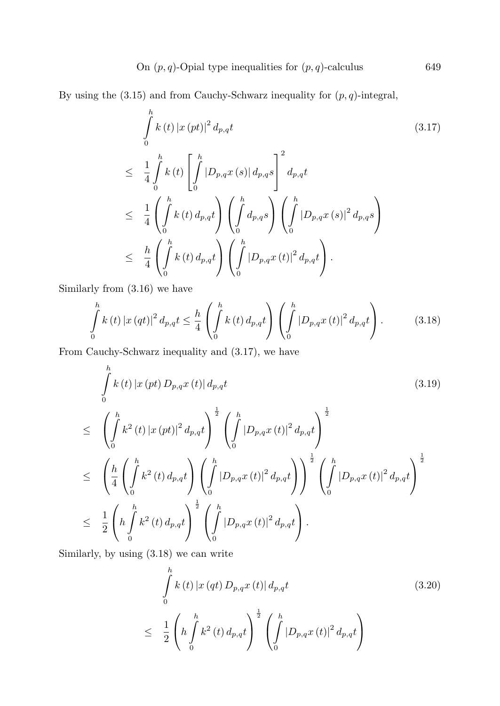By using the  $(3.15)$  and from Cauchy-Schwarz inequality for  $(p, q)$ -integral,

$$
\int_{0}^{h} k(t) |x (pt)|^{2} d_{p,q}t
$$
\n
$$
\leq \frac{1}{4} \int_{0}^{h} k(t) \left[ \int_{0}^{h} |D_{p,q}x (s)| d_{p,q}s \right]^{2} d_{p,q}t
$$
\n
$$
\leq \frac{1}{4} \left( \int_{0}^{h} k(t) d_{p,q}t \right) \left( \int_{0}^{h} d_{p,q}s \right) \left( \int_{0}^{h} |D_{p,q}x (s)|^{2} d_{p,q}s \right)
$$
\n
$$
\leq \frac{h}{4} \left( \int_{0}^{h} k(t) d_{p,q}t \right) \left( \int_{0}^{h} |D_{p,q}x (t)|^{2} d_{p,q}t \right).
$$
\n(3.17)

Similarly from (3.16) we have

$$
\int_{0}^{h} k(t) |x(qt)|^{2} d_{p,q}t \leq \frac{h}{4} \left( \int_{0}^{h} k(t) d_{p,q}t \right) \left( \int_{0}^{h} |D_{p,q}x(t)|^{2} d_{p,q}t \right).
$$
 (3.18)

From Cauchy-Schwarz inequality and (3.17), we have

$$
\int_{0}^{h} k(t) |x (pt) D_{p,q} x(t)| d_{p,q} t
$$
\n
$$
\leq \left( \int_{0}^{h} k^{2} (t) |x (pt)|^{2} d_{p,q} t \right)^{\frac{1}{2}} \left( \int_{0}^{h} |D_{p,q} x (t)|^{2} d_{p,q} t \right)^{\frac{1}{2}}
$$
\n
$$
\leq \left( \frac{h}{4} \left( \int_{0}^{h} k^{2} (t) d_{p,q} t \right) \left( \int_{0}^{h} |D_{p,q} x (t)|^{2} d_{p,q} t \right) \right)^{\frac{1}{2}} \left( \int_{0}^{h} |D_{p,q} x (t)|^{2} d_{p,q} t \right)^{\frac{1}{2}}
$$
\n
$$
\leq \frac{1}{2} \left( h \int_{0}^{h} k^{2} (t) d_{p,q} t \right)^{\frac{1}{2}} \left( \int_{0}^{h} |D_{p,q} x (t)|^{2} d_{p,q} t \right).
$$
\n(3.19)

Similarly, by using (3.18) we can write

$$
\int_{0}^{h} k(t) |x(qt) D_{p,q} x(t)| d_{p,q} t
$$
\n
$$
\leq \frac{1}{2} \left( h \int_{0}^{h} k^{2} (t) d_{p,q} t \right)^{\frac{1}{2}} \left( \int_{0}^{h} |D_{p,q} x (t)|^{2} d_{p,q} t \right)
$$
\n(3.20)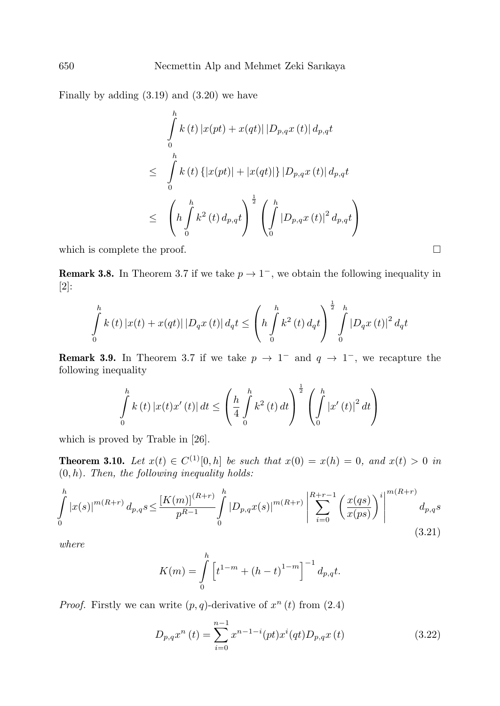Finally by adding (3.19) and (3.20) we have

$$
\int_{0}^{h} k(t) |x(pt) + x(qt)| |D_{p,q}x(t)| d_{p,q}t
$$
\n
$$
\leq \int_{0}^{h} k(t) \{ |x(pt)| + |x(qt)| \} |D_{p,q}x(t)| d_{p,q}t
$$
\n
$$
\leq \left( h \int_{0}^{h} k^{2}(t) d_{p,q}t \right)^{\frac{1}{2}} \left( \int_{0}^{h} |D_{p,q}x(t)|^{2} d_{p,q}t \right)
$$
\nwhich is complete the proof.

**Remark 3.8.** In Theorem 3.7 if we take  $p \to 1^-$ , we obtain the following inequality in [2]:

$$
\int_{0}^{h} k(t) |x(t) + x(qt)| |D_q x(t)| d_q t \leq \left( h \int_{0}^{h} k^2(t) d_q t \right)^{\frac{1}{2}} \int_{0}^{h} |D_q x(t)|^2 d_q t
$$

**Remark 3.9.** In Theorem 3.7 if we take  $p \rightarrow 1^-$  and  $q \rightarrow 1^-$ , we recapture the following inequality

$$
\int_{0}^{h} k(t) |x(t)x'(t)| dt \leq \left(\frac{h}{4} \int_{0}^{h} k^{2}(t) dt\right)^{\frac{1}{2}} \left(\int_{0}^{h} |x'(t)|^{2} dt\right)
$$

which is proved by Trable in [26].

**Theorem 3.10.** Let  $x(t) \in C^{(1)}[0, h]$  be such that  $x(0) = x(h) = 0$ , and  $x(t) > 0$  in  $(0, h)$ . Then, the following inequality holds:

$$
\int_{0}^{h} |x(s)|^{m(R+r)} d_{p,q}s \leq \frac{\left[K(m)\right]^{(R+r)}}{p^{R-1}} \int_{0}^{h} |D_{p,q}x(s)|^{m(R+r)} \left| \sum_{i=0}^{R+r-1} \left(\frac{x(qs)}{x(ps)}\right)^i \right|^{m(R+r)} d_{p,q}s
$$
\n(3.21)

where

$$
K(m) = \int_{0}^{h} \left[ t^{1-m} + (h-t)^{1-m} \right]^{-1} d_{p,q}t.
$$

*Proof.* Firstly we can write  $(p, q)$ -derivative of  $x^n(t)$  from  $(2.4)$ 

$$
D_{p,q}x^{n}(t) = \sum_{i=0}^{n-1} x^{n-1-i}(pt)x^{i}(qt)D_{p,q}x(t)
$$
\n(3.22)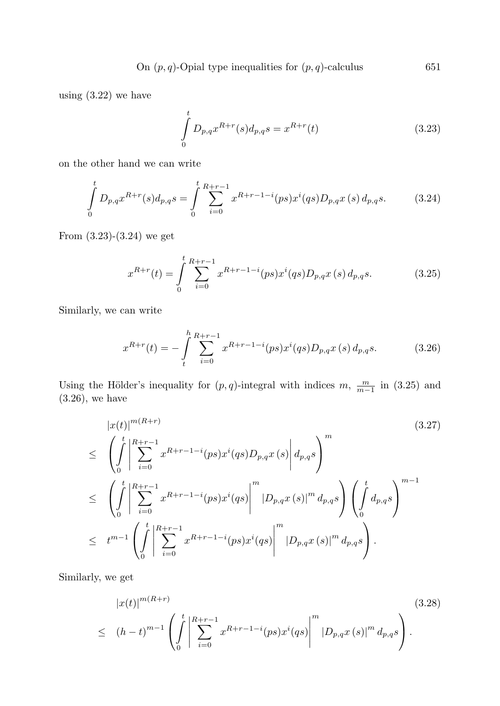On 
$$
(p, q)
$$
-Opial type inequalities for  $(p, q)$ -calculus 651

using (3.22) we have

$$
\int_{0}^{t} D_{p,q} x^{R+r}(s) d_{p,q} s = x^{R+r}(t)
$$
\n(3.23)

on the other hand we can write

$$
\int_{0}^{t} D_{p,q} x^{R+r}(s) d_{p,q} s = \int_{0}^{t} \sum_{i=0}^{R+r-1} x^{R+r-1-i}(ps) x^{i}(qs) D_{p,q} x(s) d_{p,q} s.
$$
 (3.24)

From (3.23)-(3.24) we get

$$
x^{R+r}(t) = \int_{0}^{t} \sum_{i=0}^{R+r-1} x^{R+r-1-i} (ps) x^{i} (qs) D_{p,q} x (s) d_{p,q} s.
$$
 (3.25)

Similarly, we can write

$$
x^{R+r}(t) = -\int_{t}^{h} \sum_{i=0}^{R+r-1} x^{R+r-1-i} (ps) x^{i} (qs) D_{p,q} x (s) d_{p,q} s.
$$
 (3.26)

Using the Hölder's inequality for  $(p, q)$ -integral with indices  $m, \frac{m}{m-1}$  in (3.25) and (3.26), we have

$$
\begin{split}\n&|x(t)|^{m(R+r)} \\
&\leq \left(\int_{0}^{t} \left| \sum_{i=0}^{R+r-1} x^{R+r-1-i}(ps)x^{i}(qs)D_{p,q}x(s) \right| d_{p,q}s \right)^{m} \\
&\leq \left(\int_{0}^{t} \left| \sum_{i=0}^{R+r-1} x^{R+r-1-i}(ps)x^{i}(qs) \right|^{m} |D_{p,q}x(s)|^{m} d_{p,q}s \right) \left(\int_{0}^{t} d_{p,q}s \right)^{m-1} \\
&\leq t^{m-1} \left(\int_{0}^{t} \left| \sum_{i=0}^{R+r-1} x^{R+r-1-i}(ps)x^{i}(qs) \right|^{m} |D_{p,q}x(s)|^{m} d_{p,q}s \right).\n\end{split}
$$
\n
$$
(3.27)
$$

Similarly, we get

$$
|x(t)|^{m(R+r)} \n\leq (h-t)^{m-1} \left( \int_{0}^{t} \left| \sum_{i=0}^{R+r-1} x^{R+r-1-i} (ps) x^{i} (qs) \right|^{m} |D_{p,q} x(s)|^{m} d_{p,q} s \right).
$$
\n(3.28)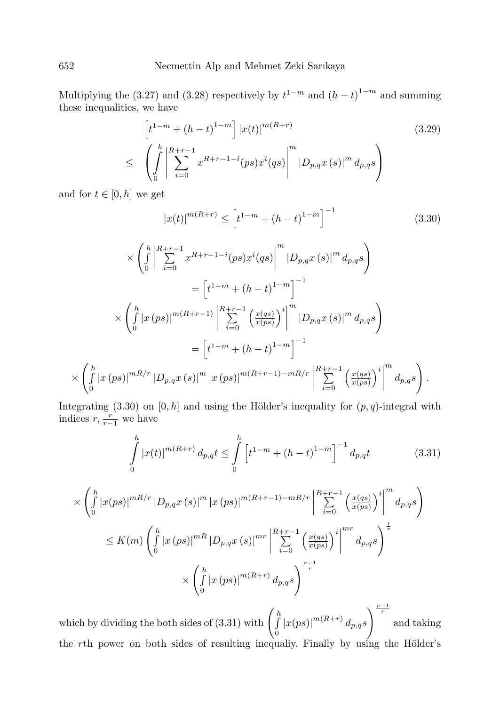Multiplying the (3.27) and (3.28) respectively by  $t^{1-m}$  and  $(h-t)^{1-m}$  and summing these inequalities, we have

$$
\begin{aligned}\n\left[t^{1-m} + (h-t)^{1-m}\right] |x(t)|^{m(R+r)} \\
\leq \left(\int_{0}^{h} \left| \sum_{i=0}^{R+r-1} x^{R+r-1-i} (ps) x^{i} (qs) \right|^{m} |D_{p,q} x(s)|^{m} d_{p,q}s\right)\n\end{aligned} \tag{3.29}
$$

and for  $t \in [0, h]$  we get

$$
|x(t)|^{m(R+r)} \le \left[t^{1-m} + (h-t)^{1-m}\right]^{-1}
$$
\n(3.30)

$$
\times \left( \int_{0}^{h} \left| \sum_{i=0}^{R+r-1} x^{R+r-1-i} (ps) x^{i} (qs) \right|^{m} |D_{p,q} x (s)|^{m} d_{p,q} s \right)
$$
  
\n
$$
= \left[ t^{1-m} + (h-t)^{1-m} \right]^{-1}
$$
  
\n
$$
\times \left( \int_{0}^{h} |x (ps)|^{m(R+r-1)} \left| \sum_{i=0}^{R+r-1} \left( \frac{x (qs)}{x (ps)} \right)^{i} \right|^{m} |D_{p,q} x (s)|^{m} d_{p,q} s \right)
$$
  
\n
$$
= \left[ t^{1-m} + (h-t)^{1-m} \right]^{-1}
$$
  
\n
$$
\times \left( \int_{0}^{h} |x (ps)|^{mR/r} |D_{p,q} x (s)|^{m} |x (ps)|^{m(R+r-1)-mR/r} \left| \sum_{i=0}^{R+r-1} \left( \frac{x (qs)}{x (ps)} \right)^{i} \right|^{m} d_{p,q} s \right).
$$

Integrating (3.30) on [0, h] and using the Hölder's inequality for  $(p, q)$ -integral with indices  $r, \frac{r}{r-1}$  we have

$$
\int_{0}^{h} |x(t)|^{m(R+r)} d_{p,q}t \leq \int_{0}^{h} \left[ t^{1-m} + (h-t)^{1-m} \right]^{-1} d_{p,q}t \tag{3.31}
$$

$$
\times \left( \int_{0}^{h} |x(ps)|^{mR/r} |D_{p,q}x(s)|^{m} |x(ps)|^{m(R+r-1)-mR/r} \left| \sum_{i=0}^{R+r-1} \left( \frac{x(qs)}{x(ps)} \right)^{i} \right|^{m} d_{p,q}s \right)
$$
  

$$
\leq K(m) \left( \int_{0}^{h} |x(ps)|^{mR} |D_{p,q}x(s)|^{mr} \left| \sum_{i=0}^{R+r-1} \left( \frac{x(qs)}{x(ps)} \right)^{i} \right|^{mr} d_{p,q}s \right)^{\frac{1}{r}}
$$
  

$$
\times \left( \int_{0}^{h} |x(ps)|^{m(R+r)} d_{p,q}s \right)^{\frac{r-1}{r}}
$$

which by dividing the both sides of (3.31) with  $\int_{0}^{h}$ 0  $|x(ps)|^{m(R+r)} d_{p,q}s$  $\sqrt{\frac{r-1}{r}}$ and taking the rth power on both sides of resulting inequaliy. Finally by using the Hölder's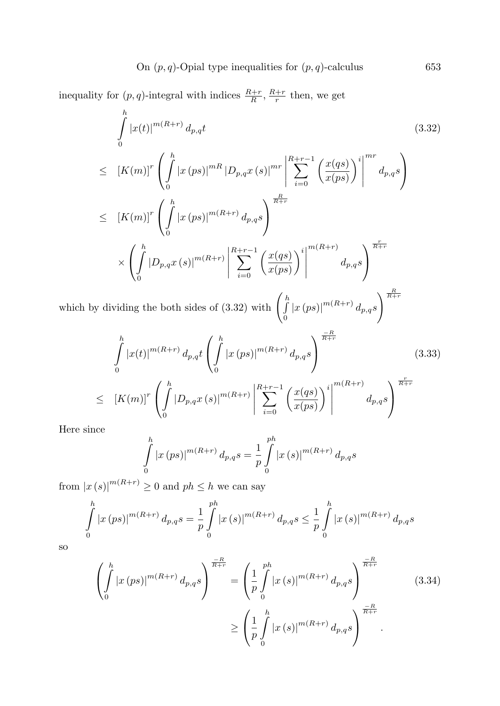inequality for  $(p, q)$ -integral with indices  $\frac{R+r}{R}$ ,  $\frac{R+r}{r}$  then, we get

$$
\int_{0}^{h} |x(t)|^{m(R+r)} d_{p,q}t
$$
\n
$$
\leq [K(m)]^{r} \left( \int_{0}^{h} |x (ps)|^{mR} |D_{p,q}x (s)|^{mr} \left| \sum_{i=0}^{R+r-1} \left( \frac{x (qs)}{x (ps)} \right)^{i} \right|^{mr} d_{p,q}s \right)
$$
\n
$$
\leq [K(m)]^{r} \left( \int_{0}^{h} |x (ps)|^{m(R+r)} d_{p,q}s \right)^{\frac{R}{R+r}}
$$
\n
$$
\times \left( \int_{0}^{h} |D_{p,q}x (s)|^{m(R+r)} \left| \sum_{i=0}^{R+r-1} \left( \frac{x (qs)}{x (ps)} \right)^{i} \right|^{m(R+r)} d_{p,q}s \right)^{\frac{r}{R+r}}
$$
\n
$$
K \text{ dividing the both sides of (3.32) with } \left( \int_{0}^{h} |x (ps)|^{m(R+r)} d_{p,q}s \right)^{\frac{R}{R+r}}
$$

which by dividing the both sides of (3.32) with  $\int_{a}^{b}$ 0  $\left|x\left(ps)\right|^{m(R+r)}d_{p,q}s\right|$ 

$$
\int_{0}^{h} |x(t)|^{m(R+r)} d_{p,q}t \left( \int_{0}^{h} |x (ps)|^{m(R+r)} d_{p,q}s \right)^{\frac{-R}{R+r}} \qquad (3.33)
$$
\n
$$
\leq [K(m)]^{r} \left( \int_{0}^{h} |D_{p,q}x (s)|^{m(R+r)} \left| \sum_{i=0}^{R+r-1} \left( \frac{x(qs)}{x(ps)} \right)^{i} \right|^{m(R+r)} d_{p,q}s \right)^{\frac{r}{R+r}}
$$

Here since

$$
\int_{0}^{h} |x (ps)|^{m(R+r)} d_{p,q}s = \frac{1}{p} \int_{0}^{ph} |x (s)|^{m(R+r)} d_{p,q}s
$$

from  $|x(s)|^{m(R+r)} \geq 0$  and  $ph \leq h$  we can say

$$
\int_{0}^{h} |x(ps)|^{m(R+r)} d_{p,q}s = \frac{1}{p} \int_{0}^{ph} |x(s)|^{m(R+r)} d_{p,q}s \leq \frac{1}{p} \int_{0}^{h} |x(s)|^{m(R+r)} d_{p,q}s
$$

so

$$
\left(\int_{0}^{h} |x(ps)|^{m(R+r)} d_{p,q}s\right)^{\frac{-R}{R+r}} = \left(\frac{1}{p} \int_{0}^{ph} |x(s)|^{m(R+r)} d_{p,q}s\right)^{\frac{-R}{R+r}} \tag{3.34}
$$
\n
$$
\geq \left(\frac{1}{p} \int_{0}^{h} |x(s)|^{m(R+r)} d_{p,q}s\right)^{\frac{-R}{R+r}}.
$$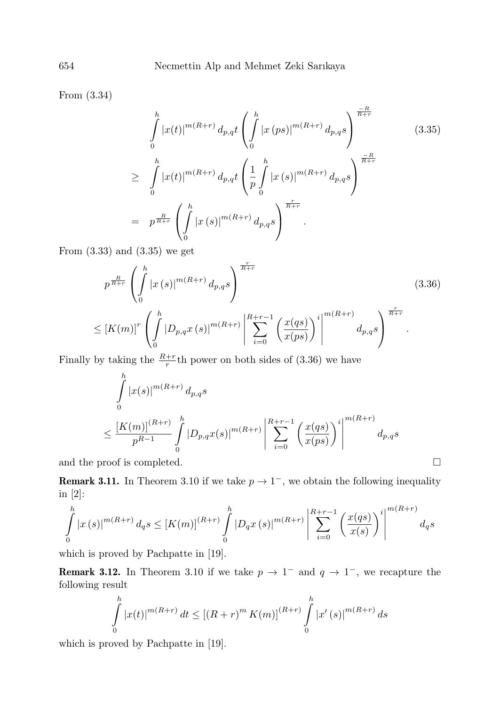From (3.34)

$$
\int_{0}^{h} |x(t)|^{m(R+r)} d_{p,q}t \left( \int_{0}^{h} |x (ps)|^{m(R+r)} d_{p,q}s \right)^{\frac{-R}{R+r}} \tag{3.35}
$$
\n
$$
\geq \int_{0}^{h} |x(t)|^{m(R+r)} d_{p,q}t \left( \frac{1}{p} \int_{0}^{h} |x (s)|^{m(R+r)} d_{p,q}s \right)^{\frac{-R}{R+r}}
$$
\n
$$
= p^{\frac{R}{R+r}} \left( \int_{0}^{h} |x (s)|^{m(R+r)} d_{p,q}s \right)^{\frac{r}{R+r}}.
$$

From (3.33) and (3.35) we get

$$
p^{\frac{R}{R+r}} \left( \int_{0}^{h} |x(s)|^{m(R+r)} d_{p,q}s \right)^{\frac{r}{R+r}}
$$
\n
$$
\leq [K(m)]^{r} \left( \int_{0}^{h} |D_{p,q}x(s)|^{m(R+r)} \left| \sum_{i=0}^{R+r-1} \left( \frac{x(qs)}{x(ps)} \right)^{i} \right|^{m(R+r)} d_{p,q}s \right)^{\frac{r}{R+r}}
$$
\n(3.36)

Finally by taking the  $\frac{R+r}{r}$ <sup>th</sup> power on both sides of (3.36) we have

$$
\int_{0}^{h} |x(s)|^{m(R+r)} d_{p,q}s
$$
\n
$$
\leq \frac{[K(m)]^{(R+r)}}{p^{R-1}} \int_{0}^{h} |D_{p,q}x(s)|^{m(R+r)} \left| \sum_{i=0}^{R+r-1} \left( \frac{x(qs)}{x(ps)} \right)^{i} \right|^{m(R+r)} d_{p,q}s
$$

and the proof is completed.  $\hfill \square$ 

**Remark 3.11.** In Theorem 3.10 if we take  $p \to 1^-$ , we obtain the following inequality in [2]:

$$
\int_{0}^{h} |x(s)|^{m(R+r)} ds \leq [K(m)]^{(R+r)} \int_{0}^{h} |D_q x(s)|^{m(R+r)} \left| \sum_{i=0}^{R+r-1} \left( \frac{x(qs)}{x(s)} \right)^i \right|^{m(R+r)} ds
$$

which is proved by Pachpatte in [19].

**Remark 3.12.** In Theorem 3.10 if we take  $p \to 1^-$  and  $q \to 1^-$ , we recapture the following result

$$
\int_{0}^{h} |x(t)|^{m(R+r)} dt \le [(R+r)^{m} K(m)]^{(R+r)} \int_{0}^{h} |x'(s)|^{m(R+r)} ds
$$

which is proved by Pachpatte in [19].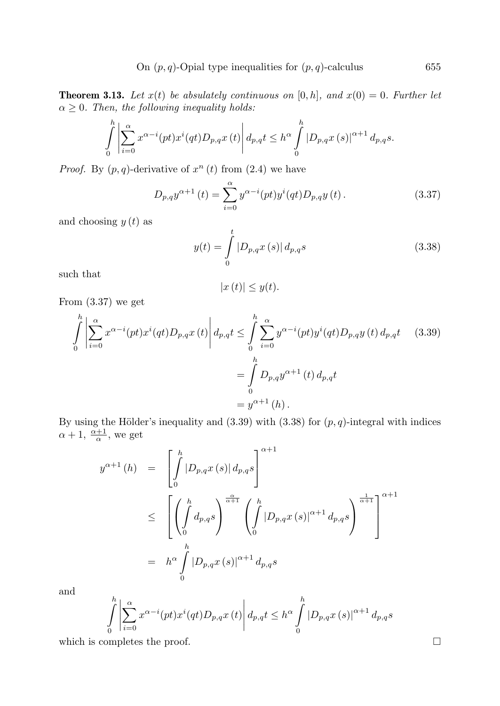**Theorem 3.13.** Let  $x(t)$  be absulately continuous on  $[0, h]$ , and  $x(0) = 0$ . Further let  $\alpha \geq 0$ . Then, the following inequality holds:

$$
\int_{0}^{h} \left| \sum_{i=0}^{\alpha} x^{\alpha-i}(pt)x^{i}(qt)D_{p,q}x(t) \right| d_{p,q}t \leq h^{\alpha} \int_{0}^{h} |D_{p,q}x(s)|^{\alpha+1} d_{p,q}s.
$$

*Proof.* By  $(p, q)$ -derivative of  $x^n(t)$  from  $(2.4)$  we have

$$
D_{p,q}y^{\alpha+1}(t) = \sum_{i=0}^{\alpha} y^{\alpha-i}(pt)y^{i}(qt)D_{p,q}y(t).
$$
 (3.37)

and choosing  $y(t)$  as

$$
y(t) = \int_{0}^{t} |D_{p,q}x(s)| d_{p,q}s
$$
 (3.38)

such that

$$
|x(t)| \leq y(t).
$$

From (3.37) we get

$$
\int_{0}^{h} \left| \sum_{i=0}^{\alpha} x^{\alpha-i}(pt)x^{i}(qt)D_{p,q}x(t) \right| d_{p,q}t \leq \int_{0}^{h} \sum_{i=0}^{\alpha} y^{\alpha-i}(pt)y^{i}(qt)D_{p,q}y(t) d_{p,q}t \qquad (3.39)
$$

$$
= \int_{0}^{h} D_{p,q}y^{\alpha+1}(t) d_{p,q}t
$$

$$
= y^{\alpha+1}(h).
$$

By using the Hölder's inequality and  $(3.39)$  with  $(3.38)$  for  $(p, q)$ -integral with indices  $\alpha + 1, \frac{\alpha+1}{\alpha}$ , we get

$$
y^{\alpha+1} (h) = \left[ \int_{0}^{h} |D_{p,q}x(s)| d_{p,q}s \right]^{\alpha+1}
$$
  
\n
$$
\leq \left[ \left( \int_{0}^{h} d_{p,q}s \right)^{\frac{\alpha}{\alpha+1}} \left( \int_{0}^{h} |D_{p,q}x(s)|^{\alpha+1} d_{p,q}s \right)^{\frac{1}{\alpha+1}} \right]^{\alpha+1}
$$
  
\n
$$
= h^{\alpha} \int_{0}^{h} |D_{p,q}x(s)|^{\alpha+1} d_{p,q}s
$$

and

$$
\int_{0}^{h} \left| \sum_{i=0}^{\alpha} x^{\alpha-i} (pt) x^i (qt) D_{p,q} x(t) \right| d_{p,q} t \leq h^{\alpha} \int_{0}^{h} |D_{p,q} x(s)|^{\alpha+1} d_{p,q} s
$$

which is completes the proof.  $\Box$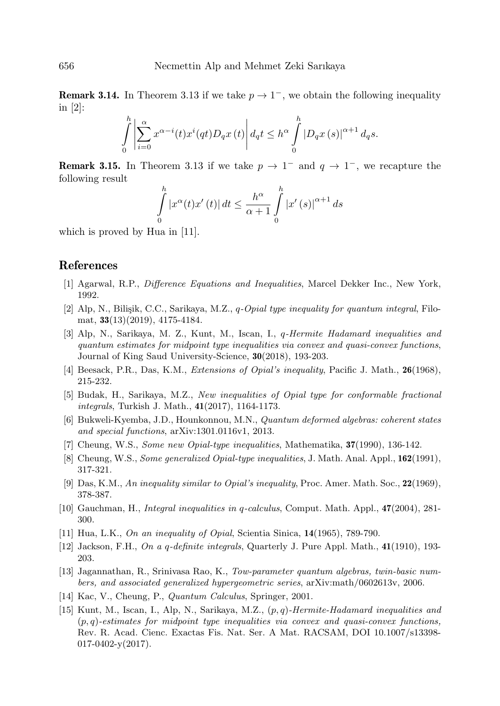**Remark 3.14.** In Theorem 3.13 if we take  $p \to 1^-$ , we obtain the following inequality in [2]:

$$
\int_{0}^{h} \left| \sum_{i=0}^{\alpha} x^{\alpha-i}(t)x^{i}(qt)D_{q}x(t) \right| d_{q}t \leq h^{\alpha} \int_{0}^{h} \left| D_{q}x(s) \right|^{\alpha+1} d_{q}s.
$$

**Remark 3.15.** In Theorem 3.13 if we take  $p \to 1^-$  and  $q \to 1^-$ , we recapture the following result

$$
\int_{0}^{h} |x^{\alpha}(t)x'(t)| dt \le \frac{h^{\alpha}}{\alpha+1} \int_{0}^{h} |x'(s)|^{\alpha+1} ds
$$

which is proved by Hua in [11].

### References

- [1] Agarwal, R.P., Difference Equations and Inequalities, Marcel Dekker Inc., New York, 1992.
- [2] Alp, N., Bilişik, C.C., Sarikaya, M.Z., q-Opial type inequality for quantum integral, Filomat, 33(13)(2019), 4175-4184.
- [3] Alp, N., Sarikaya, M. Z., Kunt, M., Iscan, I., q-Hermite Hadamard inequalities and quantum estimates for midpoint type inequalities via convex and quasi-convex functions, Journal of King Saud University-Science, 30(2018), 193-203.
- [4] Beesack, P.R., Das, K.M., Extensions of Opial's inequality, Pacific J. Math., 26(1968), 215-232.
- [5] Budak, H., Sarikaya, M.Z., New inequalities of Opial type for conformable fractional integrals, Turkish J. Math., 41(2017), 1164-1173.
- [6] Bukweli-Kyemba, J.D., Hounkonnou, M.N., Quantum deformed algebras: coherent states and special functions, arXiv:1301.0116v1, 2013.
- [7] Cheung, W.S., Some new Opial-type inequalities, Mathematika, 37(1990), 136-142.
- [8] Cheung, W.S., Some generalized Opial-type inequalities, J. Math. Anal. Appl., 162(1991), 317-321.
- [9] Das, K.M., An inequality similar to Opial's inequality, Proc. Amer. Math. Soc., 22(1969), 378-387.
- [10] Gauchman, H., Integral inequalities in q-calculus, Comput. Math. Appl., 47(2004), 281- 300.
- [11] Hua, L.K., On an inequality of Opial, Scientia Sinica,  $14(1965)$ , 789-790.
- [12] Jackson, F.H., On a q-definite integrals, Quarterly J. Pure Appl. Math., 41(1910), 193- 203.
- [13] Jagannathan, R., Srinivasa Rao, K., Tow-parameter quantum algebras, twin-basic numbers, and associated generalized hypergeometric series, arXiv:math/0602613v, 2006.
- [14] Kac, V., Cheung, P., Quantum Calculus, Springer, 2001.
- [15] Kunt, M., Iscan, I., Alp, N., Sarikaya, M.Z., (p, q)-Hermite-Hadamard inequalities and  $(p, q)$ -estimates for midpoint type inequalities via convex and quasi-convex functions, Rev. R. Acad. Cienc. Exactas Fis. Nat. Ser. A Mat. RACSAM, DOI 10.1007/s13398-  $017-0402-y(2017)$ .